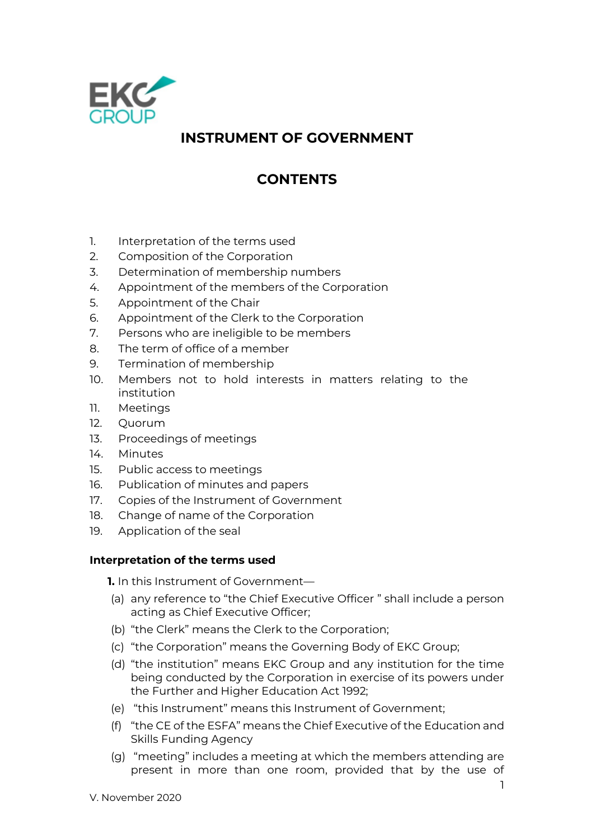

# **INSTRUMENT OF GOVERNMENT**

# **CONTENTS**

- 1. Interpretation of the terms used
- 2. Composition of the Corporation
- 3. Determination of membership numbers
- 4. Appointment of the members of the Corporation
- 5. Appointment of the Chair
- 6. Appointment of the Clerk to the Corporation
- 7. Persons who are ineligible to be members
- 8. The term of office of a member
- 9. Termination of membership
- 10. Members not to hold interests in matters relating to the institution
- 11. Meetings
- 12. Quorum
- 13. Proceedings of meetings
- 14. Minutes
- 15. Public access to meetings
- 16. Publication of minutes and papers
- 17. Copies of the Instrument of Government
- 18. Change of name of the Corporation
- 19. Application of the seal

## **Interpretation of the terms used**

**1.** In this Instrument of Government—

- (a) any reference to "the Chief Executive Officer " shall include a person acting as Chief Executive Officer;
- (b) "the Clerk" means the Clerk to the Corporation;
- (c) "the Corporation" means the Governing Body of EKC Group;
- (d) "the institution" means EKC Group and any institution for the time being conducted by the Corporation in exercise of its powers under the Further and Higher Education Act 1992;
- (e) "this Instrument" means this Instrument of Government;
- (f) "the CE of the ESFA" means the Chief Executive of the Education and Skills Funding Agency
- (g) "meeting" includes a meeting at which the members attending are present in more than one room, provided that by the use of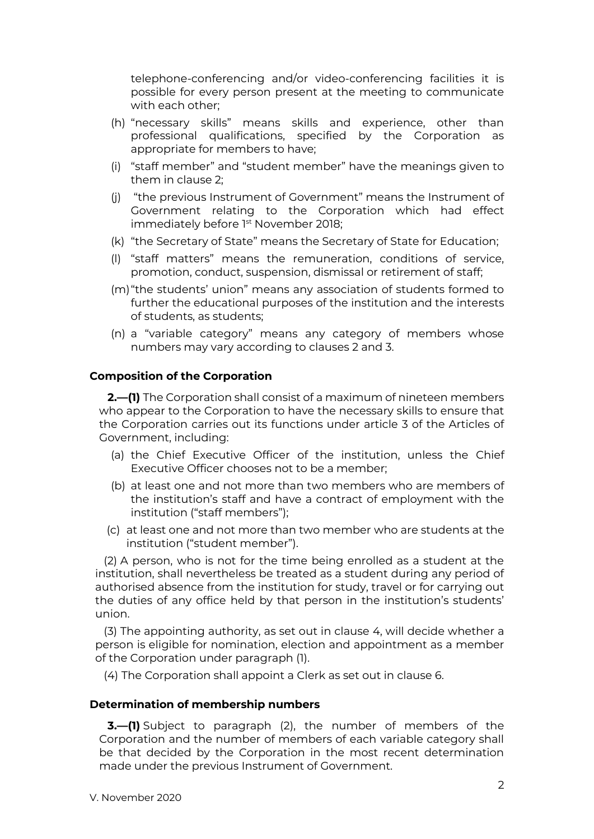telephone-conferencing and/or video-conferencing facilities it is possible for every person present at the meeting to communicate with each other;

- (h) "necessary skills" means skills and experience, other than professional qualifications, specified by the Corporation as appropriate for members to have;
- (i) "staff member" and "student member" have the meanings given to them in clause 2;
- (j) "the previous Instrument of Government" means the Instrument of Government relating to the Corporation which had effect immediately before 1st November 2018;
- (k) "the Secretary of State" means the Secretary of State for Education;
- (l) "staff matters" means the remuneration, conditions of service, promotion, conduct, suspension, dismissal or retirement of staff;
- (m)"the students' union" means any association of students formed to further the educational purposes of the institution and the interests of students, as students;
- (n) a "variable category" means any category of members whose numbers may vary according to clauses 2 and 3.

## **Composition of the Corporation**

**2.—(1)** The Corporation shall consist of a maximum of nineteen members who appear to the Corporation to have the necessary skills to ensure that the Corporation carries out its functions under article 3 of the Articles of Government, including:

- (a) the Chief Executive Officer of the institution, unless the Chief Executive Officer chooses not to be a member;
- (b) at least one and not more than two members who are members of the institution's staff and have a contract of employment with the institution ("staff members");
- (c) at least one and not more than two member who are students at the institution ("student member").

(2) A person, who is not for the time being enrolled as a student at the institution, shall nevertheless be treated as a student during any period of authorised absence from the institution for study, travel or for carrying out the duties of any office held by that person in the institution's students' union.

(3) The appointing authority, as set out in clause 4, will decide whether a person is eligible for nomination, election and appointment as a member of the Corporation under paragraph (1).

(4) The Corporation shall appoint a Clerk as set out in clause 6.

#### **Determination of membership numbers**

**3.—(1)** Subject to paragraph (2), the number of members of the Corporation and the number of members of each variable category shall be that decided by the Corporation in the most recent determination made under the previous Instrument of Government.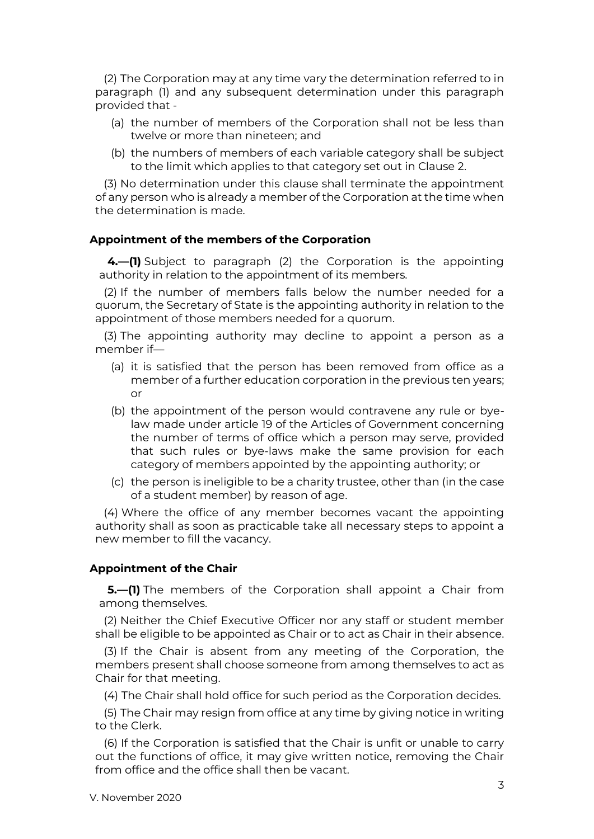(2) The Corporation may at any time vary the determination referred to in paragraph (1) and any subsequent determination under this paragraph provided that -

- (a) the number of members of the Corporation shall not be less than twelve or more than nineteen; and
- (b) the numbers of members of each variable category shall be subject to the limit which applies to that category set out in Clause 2.

(3) No determination under this clause shall terminate the appointment of any person who is already a member of the Corporation at the time when the determination is made.

#### **Appointment of the members of the Corporation**

**4.—(1)** Subject to paragraph (2) the Corporation is the appointing authority in relation to the appointment of its members.

(2) If the number of members falls below the number needed for a quorum, the Secretary of State is the appointing authority in relation to the appointment of those members needed for a quorum.

(3) The appointing authority may decline to appoint a person as a member if—

- (a) it is satisfied that the person has been removed from office as a member of a further education corporation in the previous ten years; or
- (b) the appointment of the person would contravene any rule or byelaw made under article 19 of the Articles of Government concerning the number of terms of office which a person may serve, provided that such rules or bye-laws make the same provision for each category of members appointed by the appointing authority; or
- (c) the person is ineligible to be a charity trustee, other than (in the case of a student member) by reason of age.

(4) Where the office of any member becomes vacant the appointing authority shall as soon as practicable take all necessary steps to appoint a new member to fill the vacancy.

#### **Appointment of the Chair**

**5.—(1)** The members of the Corporation shall appoint a Chair from among themselves.

(2) Neither the Chief Executive Officer nor any staff or student member shall be eligible to be appointed as Chair or to act as Chair in their absence.

(3) If the Chair is absent from any meeting of the Corporation, the members present shall choose someone from among themselves to act as Chair for that meeting.

(4) The Chair shall hold office for such period as the Corporation decides.

(5) The Chair may resign from office at any time by giving notice in writing to the Clerk.

(6) If the Corporation is satisfied that the Chair is unfit or unable to carry out the functions of office, it may give written notice, removing the Chair from office and the office shall then be vacant.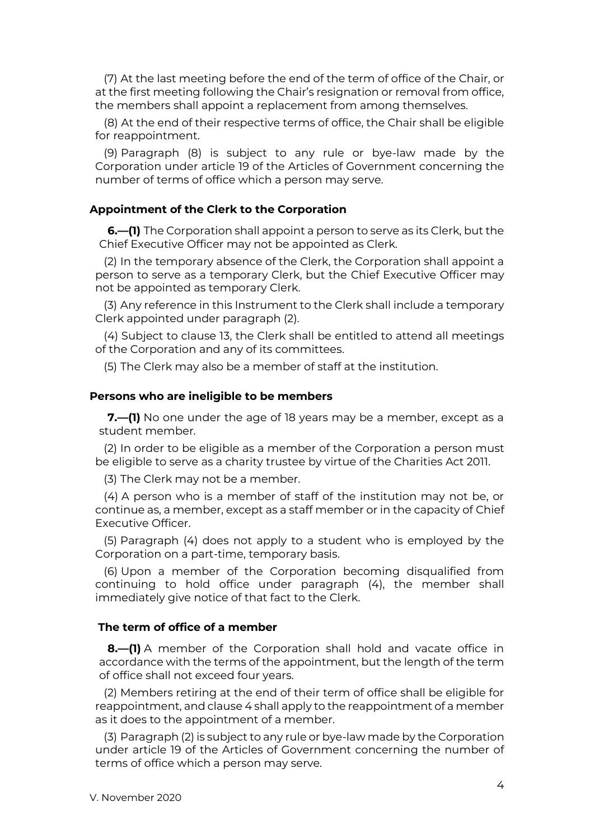(7) At the last meeting before the end of the term of office of the Chair, or at the first meeting following the Chair's resignation or removal from office, the members shall appoint a replacement from among themselves.

(8) At the end of their respective terms of office, the Chair shall be eligible for reappointment.

(9) Paragraph (8) is subject to any rule or bye-law made by the Corporation under article 19 of the Articles of Government concerning the number of terms of office which a person may serve.

## **Appointment of the Clerk to the Corporation**

**6.—(1)** The Corporation shall appoint a person to serve as its Clerk, but the Chief Executive Officer may not be appointed as Clerk.

(2) In the temporary absence of the Clerk, the Corporation shall appoint a person to serve as a temporary Clerk, but the Chief Executive Officer may not be appointed as temporary Clerk.

(3) Any reference in this Instrument to the Clerk shall include a temporary Clerk appointed under paragraph (2).

(4) Subject to clause 13, the Clerk shall be entitled to attend all meetings of the Corporation and any of its committees.

(5) The Clerk may also be a member of staff at the institution.

#### **Persons who are ineligible to be members**

**7.—(1)** No one under the age of 18 years may be a member, except as a student member.

(2) In order to be eligible as a member of the Corporation a person must be eligible to serve as a charity trustee by virtue of the Charities Act 2011.

(3) The Clerk may not be a member.

(4) A person who is a member of staff of the institution may not be, or continue as, a member, except as a staff member or in the capacity of Chief Executive Officer.

(5) Paragraph (4) does not apply to a student who is employed by the Corporation on a part-time, temporary basis.

(6) Upon a member of the Corporation becoming disqualified from continuing to hold office under paragraph (4), the member shall immediately give notice of that fact to the Clerk.

## **The term of office of a member**

**8.—(1)** A member of the Corporation shall hold and vacate office in accordance with the terms of the appointment, but the length of the term of office shall not exceed four years.

(2) Members retiring at the end of their term of office shall be eligible for reappointment, and clause 4 shall apply to the reappointment of a member as it does to the appointment of a member.

(3) Paragraph (2) is subject to any rule or bye-law made by the Corporation under article 19 of the Articles of Government concerning the number of terms of office which a person may serve.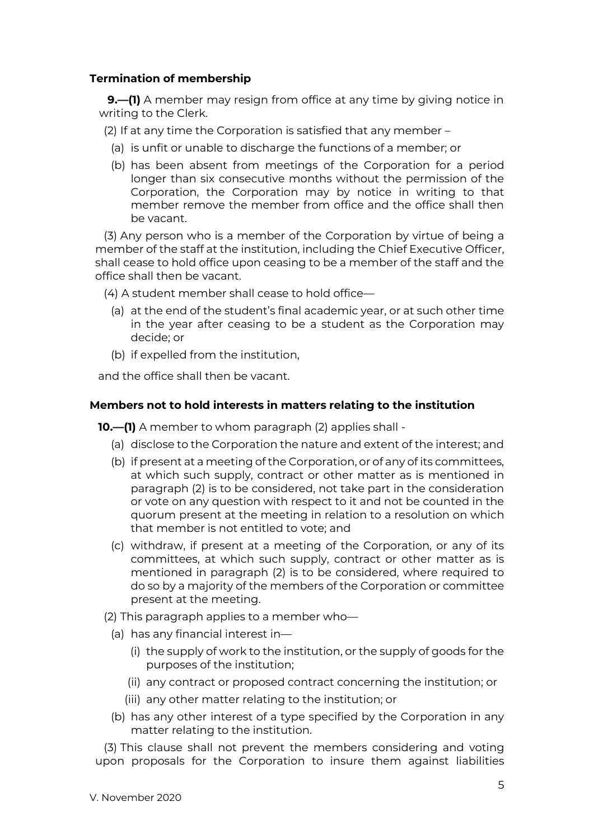## **Termination of membership**

**9.—(1)** A member may resign from office at any time by giving notice in writing to the Clerk.

(2) If at any time the Corporation is satisfied that any member –

- (a) is unfit or unable to discharge the functions of a member; or
- (b) has been absent from meetings of the Corporation for a period longer than six consecutive months without the permission of the Corporation, the Corporation may by notice in writing to that member remove the member from office and the office shall then be vacant.

(3) Any person who is a member of the Corporation by virtue of being a member of the staff at the institution, including the Chief Executive Officer, shall cease to hold office upon ceasing to be a member of the staff and the office shall then be vacant.

(4) A student member shall cease to hold office—

- (a) at the end of the student's final academic year, or at such other time in the year after ceasing to be a student as the Corporation may decide; or
- (b) if expelled from the institution,

and the office shall then be vacant.

## **Members not to hold interests in matters relating to the institution**

**10.—(1)** A member to whom paragraph (2) applies shall -

- (a) disclose to the Corporation the nature and extent of the interest; and
- (b) if present at a meeting of the Corporation, or of any of its committees, at which such supply, contract or other matter as is mentioned in paragraph (2) is to be considered, not take part in the consideration or vote on any question with respect to it and not be counted in the quorum present at the meeting in relation to a resolution on which that member is not entitled to vote; and
- (c) withdraw, if present at a meeting of the Corporation, or any of its committees, at which such supply, contract or other matter as is mentioned in paragraph (2) is to be considered, where required to do so by a majority of the members of the Corporation or committee present at the meeting.
- (2) This paragraph applies to a member who—
	- (a) has any financial interest in—
		- (i) the supply of work to the institution, or the supply of goods for the purposes of the institution;
		- (ii) any contract or proposed contract concerning the institution; or
		- (iii) any other matter relating to the institution; or
	- (b) has any other interest of a type specified by the Corporation in any matter relating to the institution.

(3) This clause shall not prevent the members considering and voting upon proposals for the Corporation to insure them against liabilities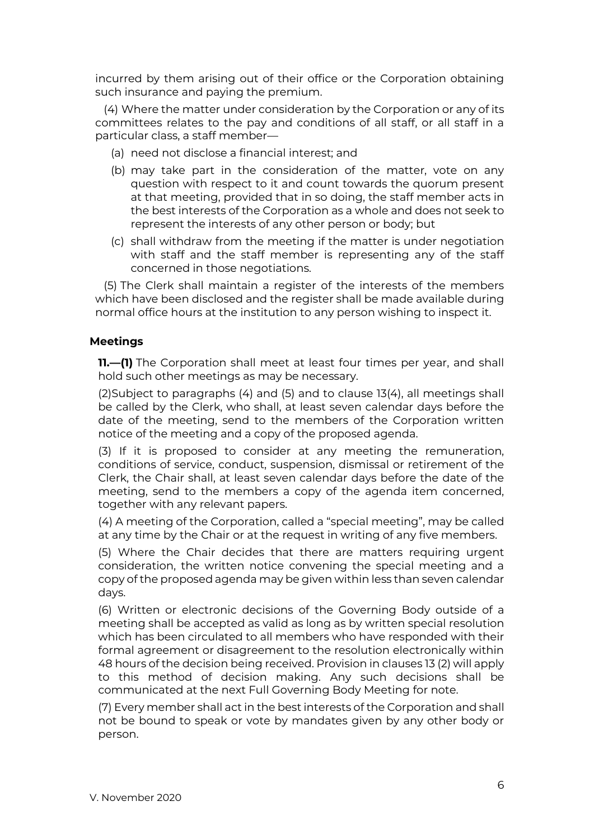incurred by them arising out of their office or the Corporation obtaining such insurance and paying the premium.

(4) Where the matter under consideration by the Corporation or any of its committees relates to the pay and conditions of all staff, or all staff in a particular class, a staff member—

- (a) need not disclose a financial interest; and
- (b) may take part in the consideration of the matter, vote on any question with respect to it and count towards the quorum present at that meeting, provided that in so doing, the staff member acts in the best interests of the Corporation as a whole and does not seek to represent the interests of any other person or body; but
- (c) shall withdraw from the meeting if the matter is under negotiation with staff and the staff member is representing any of the staff concerned in those negotiations.

(5) The Clerk shall maintain a register of the interests of the members which have been disclosed and the register shall be made available during normal office hours at the institution to any person wishing to inspect it.

# **Meetings**

**11.—(1)** The Corporation shall meet at least four times per year, and shall hold such other meetings as may be necessary.

(2)Subject to paragraphs (4) and (5) and to clause 13(4), all meetings shall be called by the Clerk, who shall, at least seven calendar days before the date of the meeting, send to the members of the Corporation written notice of the meeting and a copy of the proposed agenda.

(3) If it is proposed to consider at any meeting the remuneration, conditions of service, conduct, suspension, dismissal or retirement of the Clerk, the Chair shall, at least seven calendar days before the date of the meeting, send to the members a copy of the agenda item concerned, together with any relevant papers.

(4) A meeting of the Corporation, called a "special meeting", may be called at any time by the Chair or at the request in writing of any five members.

(5) Where the Chair decides that there are matters requiring urgent consideration, the written notice convening the special meeting and a copy of the proposed agenda may be given within less than seven calendar days.

(6) Written or electronic decisions of the Governing Body outside of a meeting shall be accepted as valid as long as by written special resolution which has been circulated to all members who have responded with their formal agreement or disagreement to the resolution electronically within 48 hours of the decision being received. Provision in clauses 13 (2) will apply to this method of decision making. Any such decisions shall be communicated at the next Full Governing Body Meeting for note.

(7) Every member shall act in the best interests of the Corporation and shall not be bound to speak or vote by mandates given by any other body or person.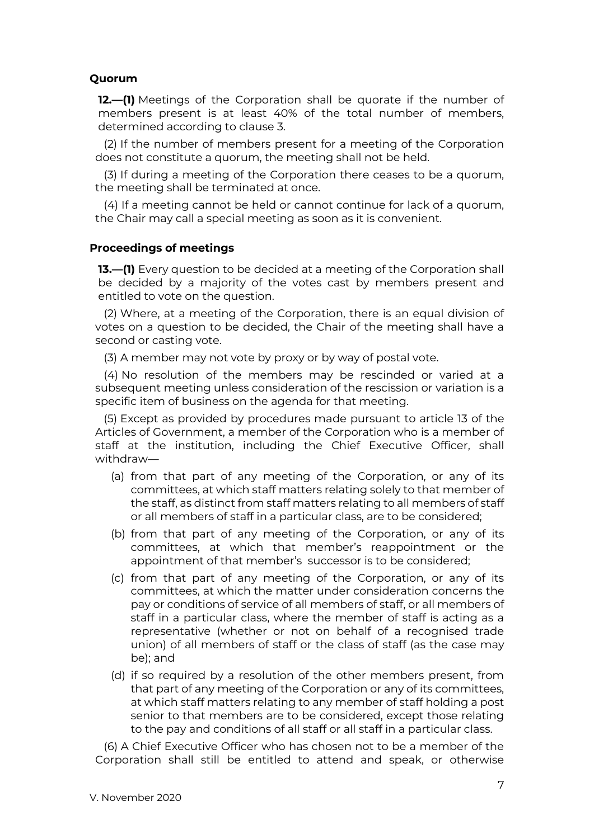## **Quorum**

**12.—(1)** Meetings of the Corporation shall be quorate if the number of members present is at least 40% of the total number of members, determined according to clause 3.

(2) If the number of members present for a meeting of the Corporation does not constitute a quorum, the meeting shall not be held.

(3) If during a meeting of the Corporation there ceases to be a quorum, the meeting shall be terminated at once.

(4) If a meeting cannot be held or cannot continue for lack of a quorum, the Chair may call a special meeting as soon as it is convenient.

#### **Proceedings of meetings**

**13.—(1)** Every question to be decided at a meeting of the Corporation shall be decided by a majority of the votes cast by members present and entitled to vote on the question.

(2) Where, at a meeting of the Corporation, there is an equal division of votes on a question to be decided, the Chair of the meeting shall have a second or casting vote.

(3) A member may not vote by proxy or by way of postal vote.

(4) No resolution of the members may be rescinded or varied at a subsequent meeting unless consideration of the rescission or variation is a specific item of business on the agenda for that meeting.

(5) Except as provided by procedures made pursuant to article 13 of the Articles of Government, a member of the Corporation who is a member of staff at the institution, including the Chief Executive Officer, shall withdraw—

- (a) from that part of any meeting of the Corporation, or any of its committees, at which staff matters relating solely to that member of the staff, as distinct from staff matters relating to all members of staff or all members of staff in a particular class, are to be considered;
- (b) from that part of any meeting of the Corporation, or any of its committees, at which that member's reappointment or the appointment of that member's successor is to be considered;
- (c) from that part of any meeting of the Corporation, or any of its committees, at which the matter under consideration concerns the pay or conditions of service of all members of staff, or all members of staff in a particular class, where the member of staff is acting as a representative (whether or not on behalf of a recognised trade union) of all members of staff or the class of staff (as the case may be); and
- (d) if so required by a resolution of the other members present, from that part of any meeting of the Corporation or any of its committees, at which staff matters relating to any member of staff holding a post senior to that members are to be considered, except those relating to the pay and conditions of all staff or all staff in a particular class.

(6) A Chief Executive Officer who has chosen not to be a member of the Corporation shall still be entitled to attend and speak, or otherwise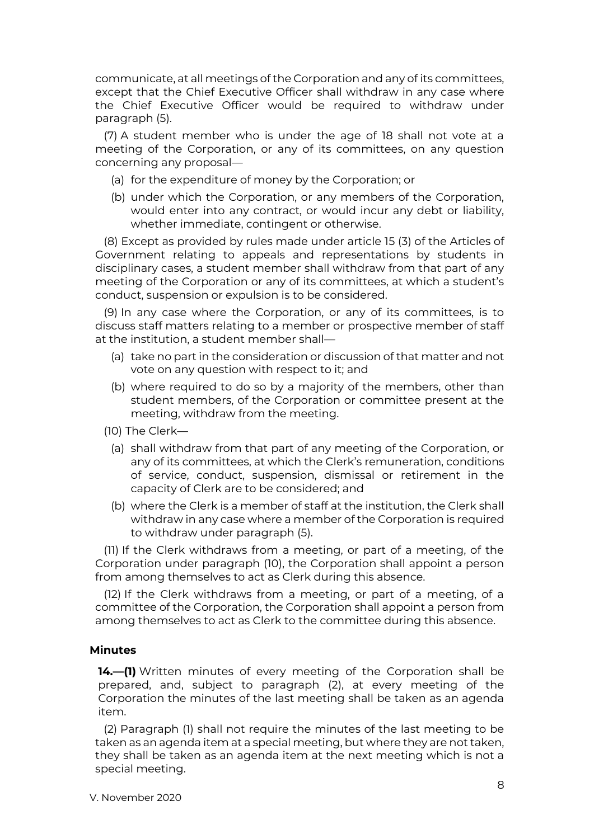communicate, at all meetings of the Corporation and any of its committees, except that the Chief Executive Officer shall withdraw in any case where the Chief Executive Officer would be required to withdraw under paragraph (5).

(7) A student member who is under the age of 18 shall not vote at a meeting of the Corporation, or any of its committees, on any question concerning any proposal—

- (a) for the expenditure of money by the Corporation; or
- (b) under which the Corporation, or any members of the Corporation, would enter into any contract, or would incur any debt or liability, whether immediate, contingent or otherwise.

(8) Except as provided by rules made under article 15 (3) of the Articles of Government relating to appeals and representations by students in disciplinary cases, a student member shall withdraw from that part of any meeting of the Corporation or any of its committees, at which a student's conduct, suspension or expulsion is to be considered.

(9) In any case where the Corporation, or any of its committees, is to discuss staff matters relating to a member or prospective member of staff at the institution, a student member shall—

- (a) take no part in the consideration or discussion of that matter and not vote on any question with respect to it; and
- (b) where required to do so by a majority of the members, other than student members, of the Corporation or committee present at the meeting, withdraw from the meeting.
- (10) The Clerk—
	- (a) shall withdraw from that part of any meeting of the Corporation, or any of its committees, at which the Clerk's remuneration, conditions of service, conduct, suspension, dismissal or retirement in the capacity of Clerk are to be considered; and
	- (b) where the Clerk is a member of staff at the institution, the Clerk shall withdraw in any case where a member of the Corporation is required to withdraw under paragraph (5).

(11) If the Clerk withdraws from a meeting, or part of a meeting, of the Corporation under paragraph (10), the Corporation shall appoint a person from among themselves to act as Clerk during this absence.

(12) If the Clerk withdraws from a meeting, or part of a meeting, of a committee of the Corporation, the Corporation shall appoint a person from among themselves to act as Clerk to the committee during this absence.

## **Minutes**

**14.—(1)** Written minutes of every meeting of the Corporation shall be prepared, and, subject to paragraph (2), at every meeting of the Corporation the minutes of the last meeting shall be taken as an agenda item.

(2) Paragraph (1) shall not require the minutes of the last meeting to be taken as an agenda item at a special meeting, but where they are not taken, they shall be taken as an agenda item at the next meeting which is not a special meeting.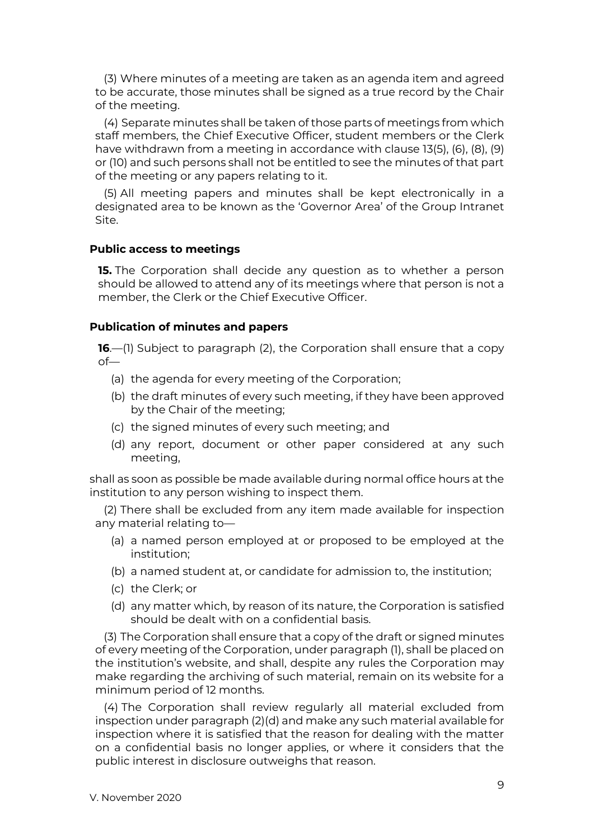(3) Where minutes of a meeting are taken as an agenda item and agreed to be accurate, those minutes shall be signed as a true record by the Chair of the meeting.

(4) Separate minutes shall be taken of those parts of meetings from which staff members, the Chief Executive Officer, student members or the Clerk have withdrawn from a meeting in accordance with clause 13(5), (6), (8), (9) or (10) and such persons shall not be entitled to see the minutes of that part of the meeting or any papers relating to it.

(5) All meeting papers and minutes shall be kept electronically in a designated area to be known as the 'Governor Area' of the Group Intranet Site.

#### **Public access to meetings**

**15.** The Corporation shall decide any question as to whether a person should be allowed to attend any of its meetings where that person is not a member, the Clerk or the Chief Executive Officer.

## **Publication of minutes and papers**

**16**.—(1) Subject to paragraph (2), the Corporation shall ensure that a copy of—

- (a) the agenda for every meeting of the Corporation;
- (b) the draft minutes of every such meeting, if they have been approved by the Chair of the meeting;
- (c) the signed minutes of every such meeting; and
- (d) any report, document or other paper considered at any such meeting,

shall as soon as possible be made available during normal office hours at the institution to any person wishing to inspect them.

(2) There shall be excluded from any item made available for inspection any material relating to—

- (a) a named person employed at or proposed to be employed at the institution;
- (b) a named student at, or candidate for admission to, the institution;
- (c) the Clerk; or
- (d) any matter which, by reason of its nature, the Corporation is satisfied should be dealt with on a confidential basis.

(3) The Corporation shall ensure that a copy of the draft or signed minutes of every meeting of the Corporation, under paragraph (1), shall be placed on the institution's website, and shall, despite any rules the Corporation may make regarding the archiving of such material, remain on its website for a minimum period of 12 months.

(4) The Corporation shall review regularly all material excluded from inspection under paragraph (2)(d) and make any such material available for inspection where it is satisfied that the reason for dealing with the matter on a confidential basis no longer applies, or where it considers that the public interest in disclosure outweighs that reason.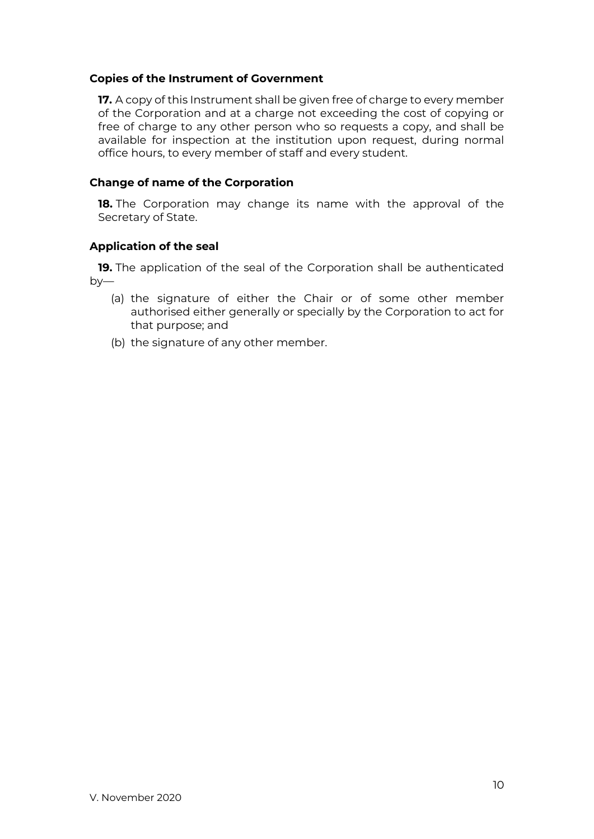## **Copies of the Instrument of Government**

**17.** A copy of this Instrument shall be given free of charge to every member of the Corporation and at a charge not exceeding the cost of copying or free of charge to any other person who so requests a copy, and shall be available for inspection at the institution upon request, during normal office hours, to every member of staff and every student.

## **Change of name of the Corporation**

**18.** The Corporation may change its name with the approval of the Secretary of State.

## **Application of the seal**

**19.** The application of the seal of the Corporation shall be authenticated by—

- (a) the signature of either the Chair or of some other member authorised either generally or specially by the Corporation to act for that purpose; and
- (b) the signature of any other member.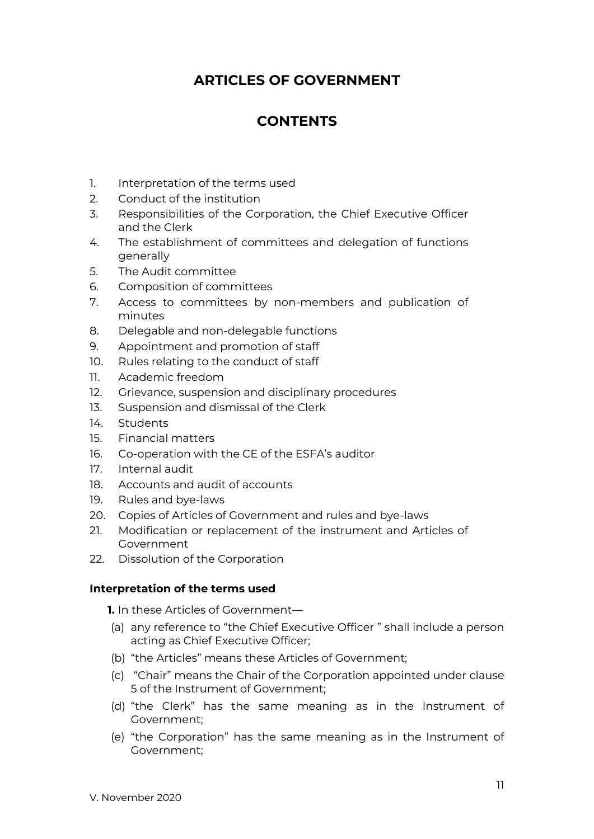# **ARTICLES OF GOVERNMENT**

# **CONTENTS**

- 1. Interpretation of the terms used
- 2. Conduct of the institution
- 3. Responsibilities of the Corporation, the Chief Executive Officer and the Clerk
- 4. The establishment of committees and delegation of functions generally
- 5. The Audit committee
- 6. Composition of committees
- 7. Access to committees by non-members and publication of minutes
- 8. Delegable and non-delegable functions
- 9. Appointment and promotion of staff
- 10. Rules relating to the conduct of staff
- 11. Academic freedom
- 12. Grievance, suspension and disciplinary procedures
- 13. Suspension and dismissal of the Clerk
- 14. Students
- 15. Financial matters
- 16. Co-operation with the CE of the ESFA's auditor
- 17. Internal audit
- 18. Accounts and audit of accounts
- 19. Rules and bye-laws
- 20. Copies of Articles of Government and rules and bye-laws
- 21. Modification or replacement of the instrument and Articles of Government
- 22. Dissolution of the Corporation

## **Interpretation of the terms used**

**1.** In these Articles of Government—

- (a) any reference to "the Chief Executive Officer " shall include a person acting as Chief Executive Officer;
- (b) "the Articles" means these Articles of Government;
- (c) "Chair" means the Chair of the Corporation appointed under clause 5 of the Instrument of Government;
- (d) "the Clerk" has the same meaning as in the Instrument of Government;
- (e) "the Corporation" has the same meaning as in the Instrument of Government;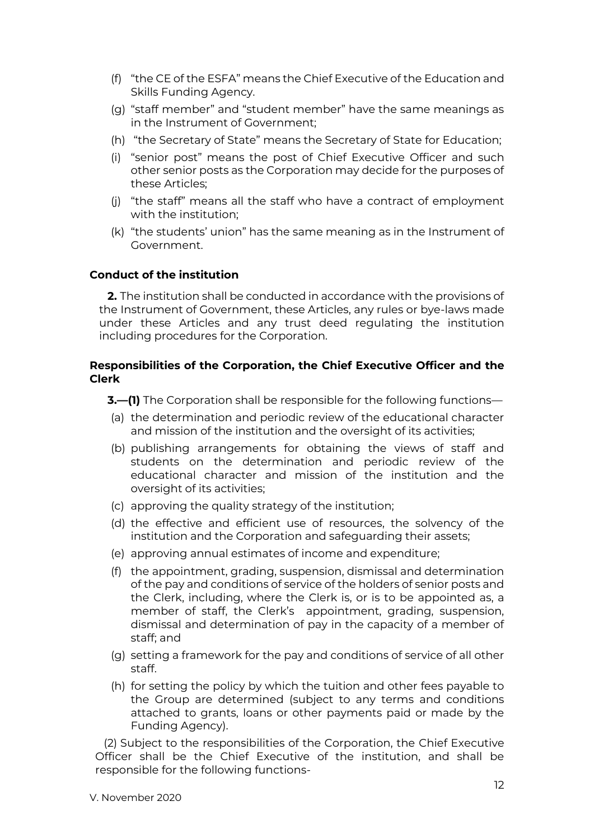- (f) "the CE of the ESFA" means the Chief Executive of the Education and Skills Funding Agency.
- (g) "staff member" and "student member" have the same meanings as in the Instrument of Government;
- (h) "the Secretary of State" means the Secretary of State for Education;
- (i) "senior post" means the post of Chief Executive Officer and such other senior posts as the Corporation may decide for the purposes of these Articles;
- (j) "the staff" means all the staff who have a contract of employment with the institution;
- (k) "the students' union" has the same meaning as in the Instrument of Government.

## **Conduct of the institution**

**2.** The institution shall be conducted in accordance with the provisions of the Instrument of Government, these Articles, any rules or bye-laws made under these Articles and any trust deed regulating the institution including procedures for the Corporation.

## **Responsibilities of the Corporation, the Chief Executive Officer and the Clerk**

- **3.—(1)** The Corporation shall be responsible for the following functions—
- (a) the determination and periodic review of the educational character and mission of the institution and the oversight of its activities;
- (b) publishing arrangements for obtaining the views of staff and students on the determination and periodic review of the educational character and mission of the institution and the oversight of its activities;
- (c) approving the quality strategy of the institution;
- (d) the effective and efficient use of resources, the solvency of the institution and the Corporation and safeguarding their assets;
- (e) approving annual estimates of income and expenditure;
- (f) the appointment, grading, suspension, dismissal and determination of the pay and conditions of service of the holders of senior posts and the Clerk, including, where the Clerk is, or is to be appointed as, a member of staff, the Clerk's appointment, grading, suspension, dismissal and determination of pay in the capacity of a member of staff; and
- (g) setting a framework for the pay and conditions of service of all other staff.
- (h) for setting the policy by which the tuition and other fees payable to the Group are determined (subject to any terms and conditions attached to grants, loans or other payments paid or made by the Funding Agency).

(2) Subject to the responsibilities of the Corporation, the Chief Executive Officer shall be the Chief Executive of the institution, and shall be responsible for the following functions-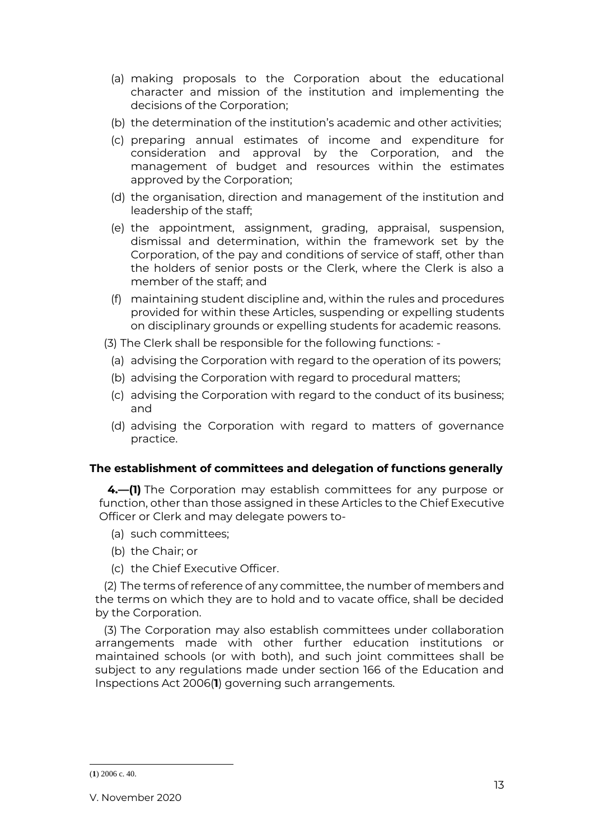- (a) making proposals to the Corporation about the educational character and mission of the institution and implementing the decisions of the Corporation;
- (b) the determination of the institution's academic and other activities;
- (c) preparing annual estimates of income and expenditure for consideration and approval by the Corporation, and the management of budget and resources within the estimates approved by the Corporation;
- (d) the organisation, direction and management of the institution and leadership of the staff;
- (e) the appointment, assignment, grading, appraisal, suspension, dismissal and determination, within the framework set by the Corporation, of the pay and conditions of service of staff, other than the holders of senior posts or the Clerk, where the Clerk is also a member of the staff; and
- (f) maintaining student discipline and, within the rules and procedures provided for within these Articles, suspending or expelling students on disciplinary grounds or expelling students for academic reasons.
- (3) The Clerk shall be responsible for the following functions:
	- (a) advising the Corporation with regard to the operation of its powers;
	- (b) advising the Corporation with regard to procedural matters;
	- (c) advising the Corporation with regard to the conduct of its business; and
	- (d) advising the Corporation with regard to matters of governance practice.

## **The establishment of committees and delegation of functions generally**

**4.—(1)** The Corporation may establish committees for any purpose or function, other than those assigned in these Articles to the Chief Executive Officer or Clerk and may delegate powers to-

- (a) such committees;
- (b) the Chair; or
- (c) the Chief Executive Officer.

(2) The terms of reference of any committee, the number of members and the terms on which they are to hold and to vacate office, shall be decided by the Corporation.

(3) The Corporation may also establish committees under collaboration arrangements made with other further education institutions or maintained schools (or with both), and such joint committees shall be subject to any regulations made under section 166 of the Education and Inspections Act 2006(**1**) governing such arrangements.

<sup>(</sup>**1**) 2006 c. 40.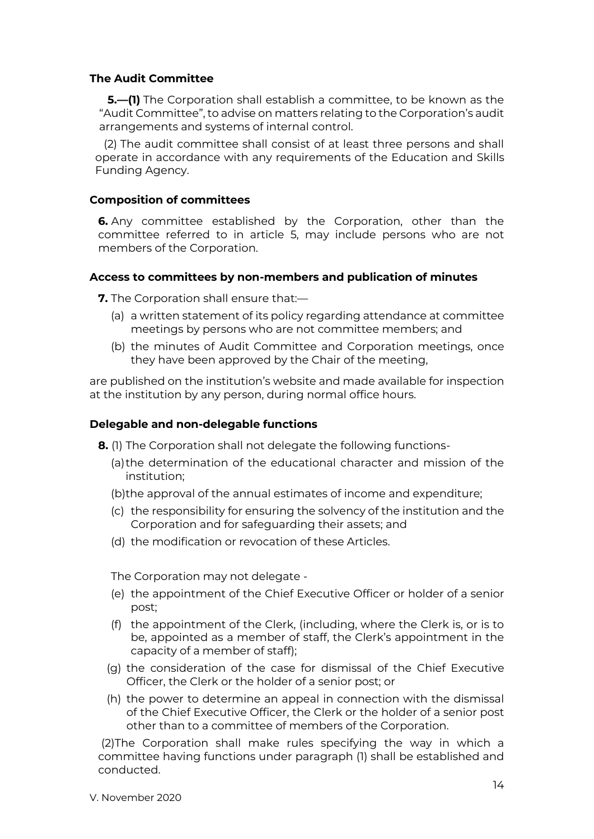## **The Audit Committee**

**5.—(1)** The Corporation shall establish a committee, to be known as the "Audit Committee", to advise on matters relating to the Corporation's audit arrangements and systems of internal control.

(2) The audit committee shall consist of at least three persons and shall operate in accordance with any requirements of the Education and Skills Funding Agency.

## **Composition of committees**

**6.** Any committee established by the Corporation, other than the committee referred to in article 5, may include persons who are not members of the Corporation.

## **Access to committees by non-members and publication of minutes**

**7.** The Corporation shall ensure that:—

- (a) a written statement of its policy regarding attendance at committee meetings by persons who are not committee members; and
- (b) the minutes of Audit Committee and Corporation meetings, once they have been approved by the Chair of the meeting,

are published on the institution's website and made available for inspection at the institution by any person, during normal office hours.

## **Delegable and non-delegable functions**

- **8.** (1) The Corporation shall not delegate the following functions-
	- (a)the determination of the educational character and mission of the institution;
	- (b)the approval of the annual estimates of income and expenditure;
	- (c) the responsibility for ensuring the solvency of the institution and the Corporation and for safeguarding their assets; and
	- (d) the modification or revocation of these Articles.

The Corporation may not delegate -

- (e) the appointment of the Chief Executive Officer or holder of a senior post;
- (f) the appointment of the Clerk, (including, where the Clerk is, or is to be, appointed as a member of staff, the Clerk's appointment in the capacity of a member of staff);
- (g) the consideration of the case for dismissal of the Chief Executive Officer, the Clerk or the holder of a senior post; or
- (h) the power to determine an appeal in connection with the dismissal of the Chief Executive Officer, the Clerk or the holder of a senior post other than to a committee of members of the Corporation.

(2)The Corporation shall make rules specifying the way in which a committee having functions under paragraph (1) shall be established and conducted.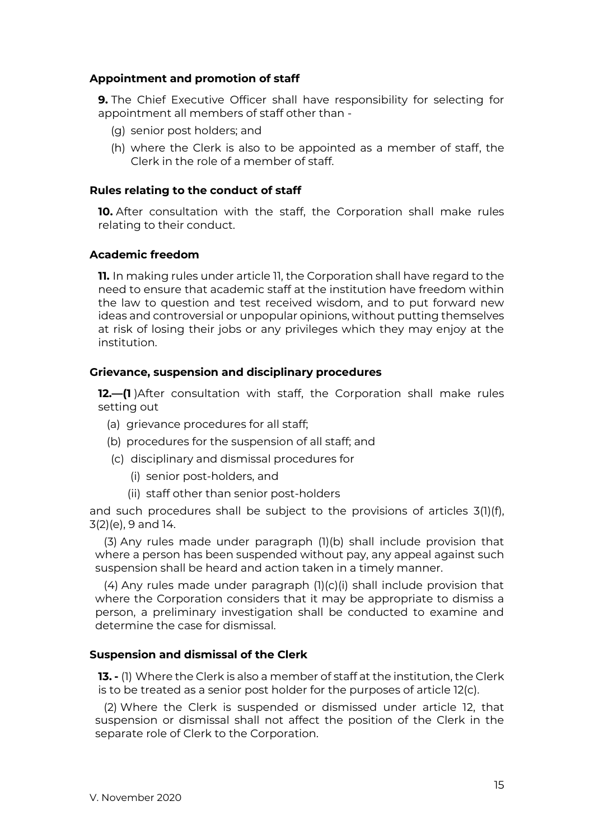## **Appointment and promotion of staff**

**9.** The Chief Executive Officer shall have responsibility for selecting for appointment all members of staff other than -

- (g) senior post holders; and
- (h) where the Clerk is also to be appointed as a member of staff, the Clerk in the role of a member of staff.

#### **Rules relating to the conduct of staff**

**10.** After consultation with the staff, the Corporation shall make rules relating to their conduct.

#### **Academic freedom**

**11.** In making rules under article 11, the Corporation shall have regard to the need to ensure that academic staff at the institution have freedom within the law to question and test received wisdom, and to put forward new ideas and controversial or unpopular opinions, without putting themselves at risk of losing their jobs or any privileges which they may enjoy at the institution.

#### **Grievance, suspension and disciplinary procedures**

**12.—(1** )After consultation with staff, the Corporation shall make rules setting out

- (a) grievance procedures for all staff;
- (b) procedures for the suspension of all staff; and
- (c) disciplinary and dismissal procedures for
	- (i) senior post-holders, and
	- (ii) staff other than senior post-holders

and such procedures shall be subject to the provisions of articles 3(1)(f), 3(2)(e), 9 and 14.

(3) Any rules made under paragraph (1)(b) shall include provision that where a person has been suspended without pay, any appeal against such suspension shall be heard and action taken in a timely manner.

(4) Any rules made under paragraph (1)(c)(i) shall include provision that where the Corporation considers that it may be appropriate to dismiss a person, a preliminary investigation shall be conducted to examine and determine the case for dismissal.

#### **Suspension and dismissal of the Clerk**

**13. -** (1) Where the Clerk is also a member of staff at the institution, the Clerk is to be treated as a senior post holder for the purposes of article 12(c).

(2) Where the Clerk is suspended or dismissed under article 12, that suspension or dismissal shall not affect the position of the Clerk in the separate role of Clerk to the Corporation.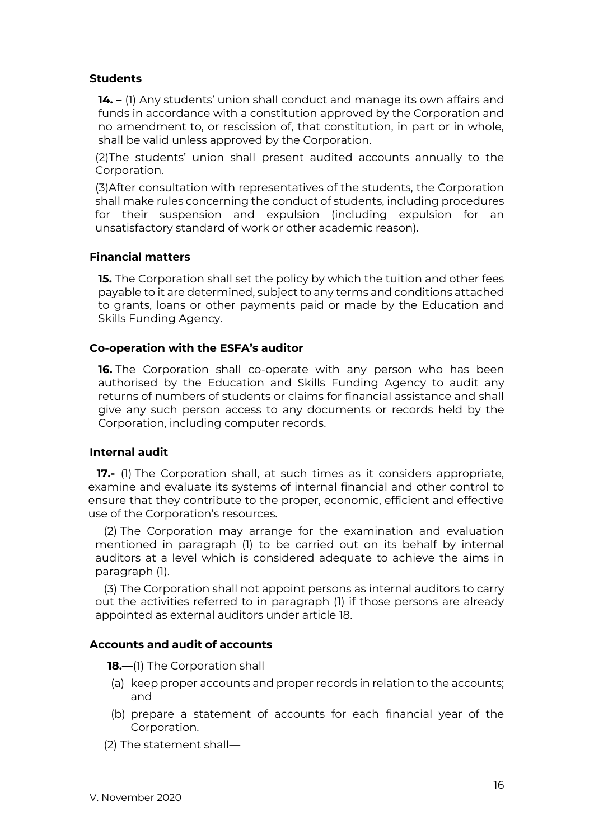## **Students**

**14. –** (1) Any students' union shall conduct and manage its own affairs and funds in accordance with a constitution approved by the Corporation and no amendment to, or rescission of, that constitution, in part or in whole, shall be valid unless approved by the Corporation.

(2)The students' union shall present audited accounts annually to the Corporation.

(3)After consultation with representatives of the students, the Corporation shall make rules concerning the conduct of students, including procedures for their suspension and expulsion (including expulsion for an unsatisfactory standard of work or other academic reason).

## **Financial matters**

**15.** The Corporation shall set the policy by which the tuition and other fees payable to it are determined, subject to any terms and conditions attached to grants, loans or other payments paid or made by the Education and Skills Funding Agency.

## **Co-operation with the ESFA's auditor**

**16.** The Corporation shall co-operate with any person who has been authorised by the Education and Skills Funding Agency to audit any returns of numbers of students or claims for financial assistance and shall give any such person access to any documents or records held by the Corporation, including computer records.

## **Internal audit**

**17.-** (1) The Corporation shall, at such times as it considers appropriate, examine and evaluate its systems of internal financial and other control to ensure that they contribute to the proper, economic, efficient and effective use of the Corporation's resources.

(2) The Corporation may arrange for the examination and evaluation mentioned in paragraph (1) to be carried out on its behalf by internal auditors at a level which is considered adequate to achieve the aims in paragraph (1).

(3) The Corporation shall not appoint persons as internal auditors to carry out the activities referred to in paragraph (1) if those persons are already appointed as external auditors under article 18.

## **Accounts and audit of accounts**

**18.—**(1) The Corporation shall

- (a) keep proper accounts and proper records in relation to the accounts; and
- (b) prepare a statement of accounts for each financial year of the Corporation.
- (2) The statement shall—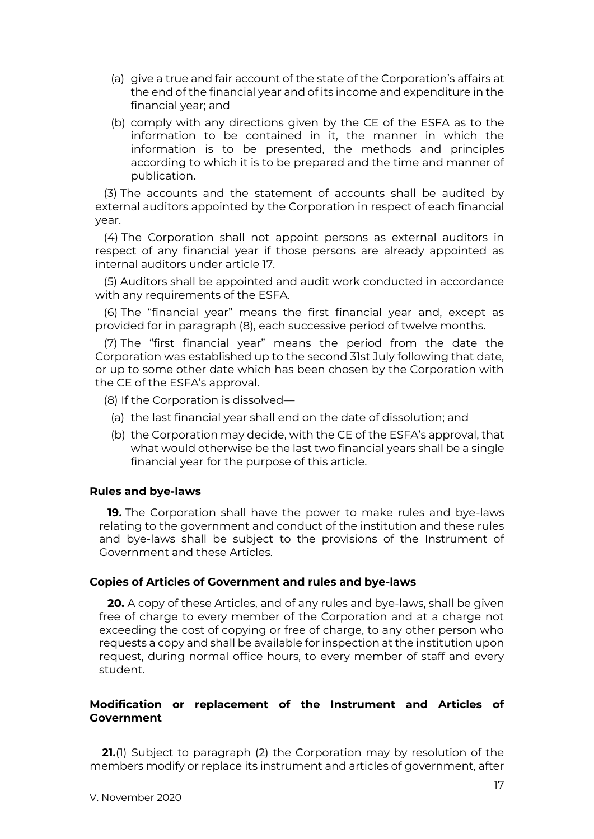- (a) give a true and fair account of the state of the Corporation's affairs at the end of the financial year and of its income and expenditure in the financial year; and
- (b) comply with any directions given by the CE of the ESFA as to the information to be contained in it, the manner in which the information is to be presented, the methods and principles according to which it is to be prepared and the time and manner of publication.

(3) The accounts and the statement of accounts shall be audited by external auditors appointed by the Corporation in respect of each financial year.

(4) The Corporation shall not appoint persons as external auditors in respect of any financial year if those persons are already appointed as internal auditors under article 17.

(5) Auditors shall be appointed and audit work conducted in accordance with any requirements of the ESFA.

(6) The "financial year" means the first financial year and, except as provided for in paragraph (8), each successive period of twelve months.

(7) The "first financial year" means the period from the date the Corporation was established up to the second 31st July following that date, or up to some other date which has been chosen by the Corporation with the CE of the ESFA's approval.

(8) If the Corporation is dissolved—

- (a) the last financial year shall end on the date of dissolution; and
- (b) the Corporation may decide, with the CE of the ESFA's approval, that what would otherwise be the last two financial years shall be a single financial year for the purpose of this article.

## **Rules and bye-laws**

**19.** The Corporation shall have the power to make rules and bye-laws relating to the government and conduct of the institution and these rules and bye-laws shall be subject to the provisions of the Instrument of Government and these Articles.

#### **Copies of Articles of Government and rules and bye-laws**

**20.** A copy of these Articles, and of any rules and bye-laws, shall be given free of charge to every member of the Corporation and at a charge not exceeding the cost of copying or free of charge, to any other person who requests a copy and shall be available for inspection at the institution upon request, during normal office hours, to every member of staff and every student.

## **Modification or replacement of the Instrument and Articles of Government**

**21.**(1) Subject to paragraph (2) the Corporation may by resolution of the members modify or replace its instrument and articles of government, after